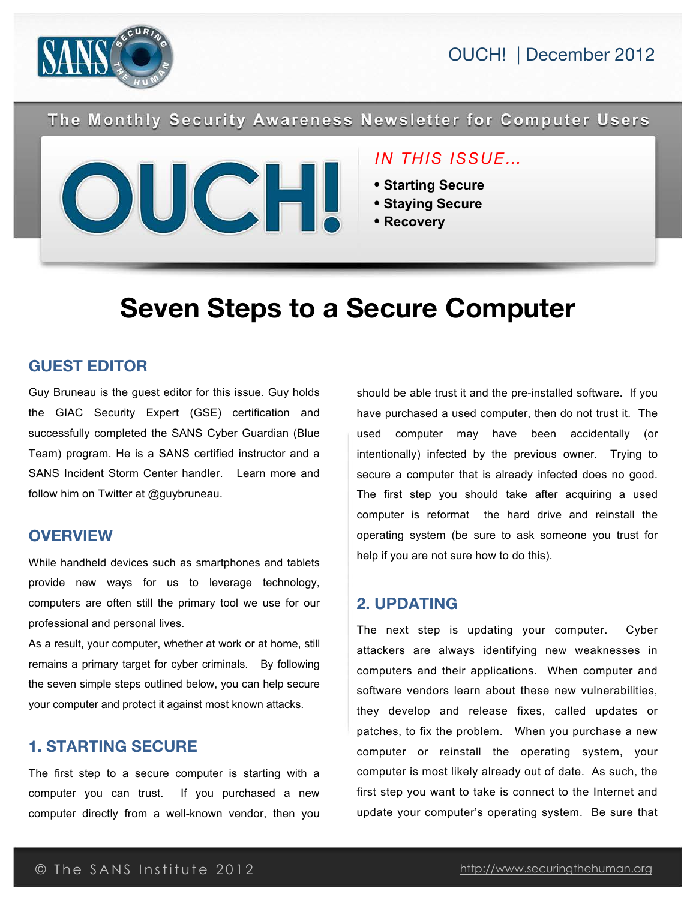



The Monthly Security Awareness Newsletter for Computer Users



#### *IN THIS ISSUE…*

- **Starting Secure**
- **Staying Secure**
- **Recovery**

# **Seven Steps to a Secure Computer**

#### **GUEST EDITOR**

Guy Bruneau is the guest editor for this issue. Guy holds the GIAC Security Expert (GSE) certification and successfully completed the SANS Cyber Guardian (Blue Team) program. He is a SANS certified instructor and a SANS Incident Storm Center handler. Learn more and follow him on Twitter at @guybruneau.

#### **OVERVIEW**

While handheld devices such as smartphones and tablets provide new ways for us to leverage technology, computers are often still the primary tool we use for our professional and personal lives.

As a result, your computer, whether at work or at home, still remains a primary target for cyber criminals. By following the seven simple steps outlined below, you can help secure your computer and protect it against most known attacks.

#### **1. STARTING SECURE**

The first step to a secure computer is starting with a computer you can trust. If you purchased a new computer directly from a well-known vendor, then you should be able trust it and the pre-installed software. If you have purchased a used computer, then do not trust it. The used computer may have been accidentally (or intentionally) infected by the previous owner. Trying to secure a computer that is already infected does no good. The first step you should take after acquiring a used computer is reformat the hard drive and reinstall the operating system (be sure to ask someone you trust for help if you are not sure how to do this).

## **2. UPDATING**

The next step is updating your computer. Cyber attackers are always identifying new weaknesses in computers and their applications. When computer and software vendors learn about these new vulnerabilities. they develop and release fixes, called updates or patches, to fix the problem. When you purchase a new computer or reinstall the operating system, your computer is most likely already out of date. As such, the first step you want to take is connect to the Internet and update your computer's operating system. Be sure that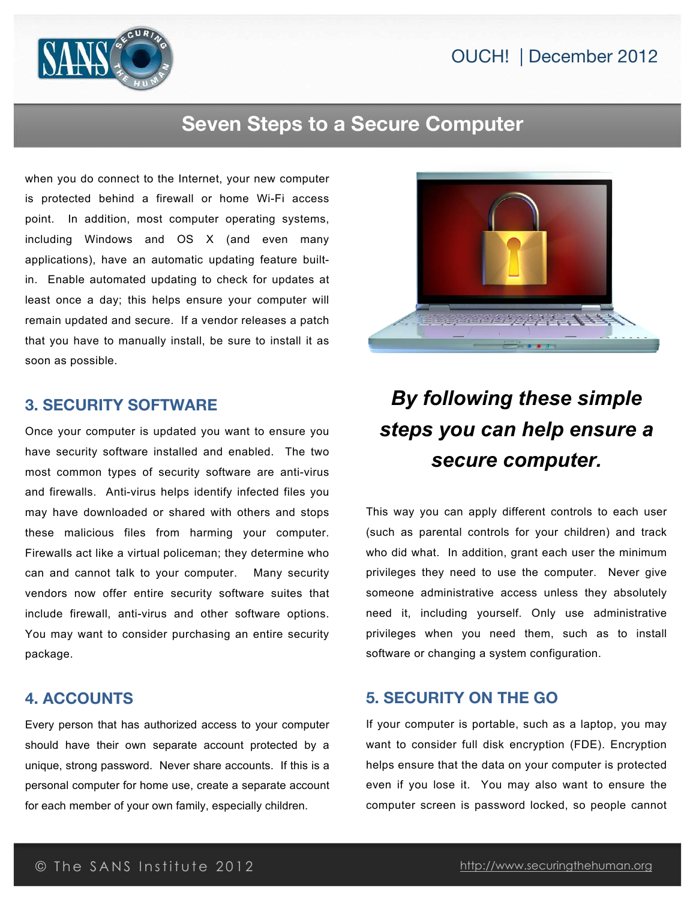

## **Seven Steps to a Secure Computer**

when you do connect to the Internet, your new computer is protected behind a firewall or home Wi-Fi access point. In addition, most computer operating systems, including Windows and OS X (and even many applications), have an automatic updating feature builtin. Enable automated updating to check for updates at least once a day; this helps ensure your computer will remain updated and secure. If a vendor releases a patch that you have to manually install, be sure to install it as soon as possible.

#### **3. SECURITY SOFTWARE**

Once your computer is updated you want to ensure you have security software installed and enabled. The two most common types of security software are anti-virus and firewalls. Anti-virus helps identify infected files you may have downloaded or shared with others and stops these malicious files from harming your computer. Firewalls act like a virtual policeman; they determine who can and cannot talk to your computer. Many security vendors now offer entire security software suites that include firewall, anti-virus and other software options. You may want to consider purchasing an entire security package.

#### **4. ACCOUNTS**

Every person that has authorized access to your computer should have their own separate account protected by a unique, strong password. Never share accounts. If this is a personal computer for home use, create a separate account for each member of your own family, especially children.



## *By following these simple steps you can help ensure a secure computer.*

This way you can apply different controls to each user (such as parental controls for your children) and track who did what. In addition, grant each user the minimum privileges they need to use the computer. Never give someone administrative access unless they absolutely need it, including yourself. Only use administrative privileges when you need them, such as to install software or changing a system configuration.

#### **5. SECURITY ON THE GO**

If your computer is portable, such as a laptop, you may want to consider full disk encryption (FDE). Encryption helps ensure that the data on your computer is protected even if you lose it. You may also want to ensure the computer screen is password locked, so people cannot